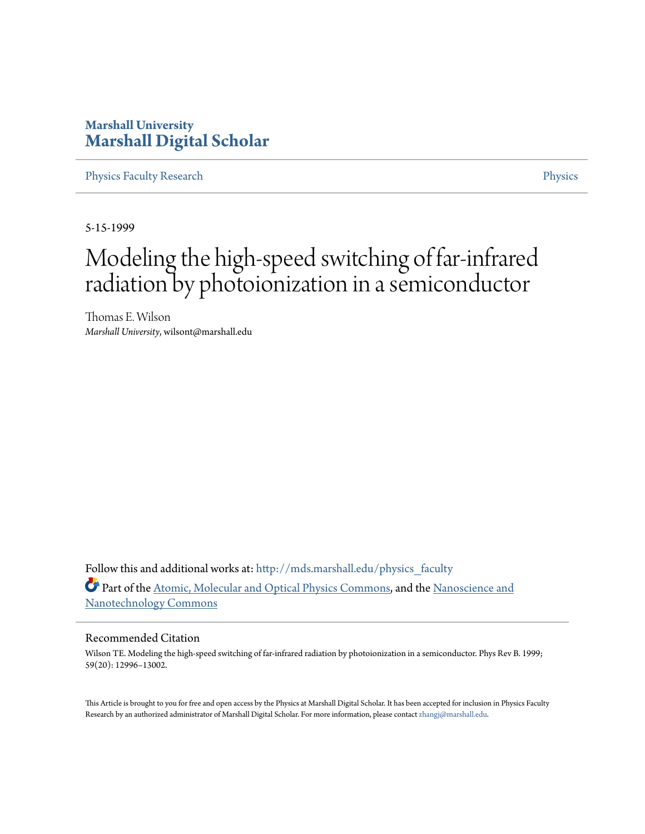# **Marshall University [Marshall Digital Scholar](http://mds.marshall.edu?utm_source=mds.marshall.edu%2Fphysics_faculty%2F4&utm_medium=PDF&utm_campaign=PDFCoverPages)**

[Physics Faculty Research](http://mds.marshall.edu/physics_faculty?utm_source=mds.marshall.edu%2Fphysics_faculty%2F4&utm_medium=PDF&utm_campaign=PDFCoverPages) [Physics](http://mds.marshall.edu/physics?utm_source=mds.marshall.edu%2Fphysics_faculty%2F4&utm_medium=PDF&utm_campaign=PDFCoverPages)

5-15-1999

# Modeling the high-speed switching of far-infrared radiation by photoionization in a semiconductor

Thomas E. Wilson *Marshall University*, wilsont@marshall.edu

Follow this and additional works at: [http://mds.marshall.edu/physics\\_faculty](http://mds.marshall.edu/physics_faculty?utm_source=mds.marshall.edu%2Fphysics_faculty%2F4&utm_medium=PDF&utm_campaign=PDFCoverPages) Part of the [Atomic, Molecular and Optical Physics Commons,](http://network.bepress.com/hgg/discipline/195?utm_source=mds.marshall.edu%2Fphysics_faculty%2F4&utm_medium=PDF&utm_campaign=PDFCoverPages) and the [Nanoscience and](http://network.bepress.com/hgg/discipline/313?utm_source=mds.marshall.edu%2Fphysics_faculty%2F4&utm_medium=PDF&utm_campaign=PDFCoverPages) [Nanotechnology Commons](http://network.bepress.com/hgg/discipline/313?utm_source=mds.marshall.edu%2Fphysics_faculty%2F4&utm_medium=PDF&utm_campaign=PDFCoverPages)

# Recommended Citation

Wilson TE. Modeling the high-speed switching of far-infrared radiation by photoionization in a semiconductor. Phys Rev B. 1999; 59(20): 12996–13002.

This Article is brought to you for free and open access by the Physics at Marshall Digital Scholar. It has been accepted for inclusion in Physics Faculty Research by an authorized administrator of Marshall Digital Scholar. For more information, please contact [zhangj@marshall.edu.](mailto:zhangj@marshall.edu)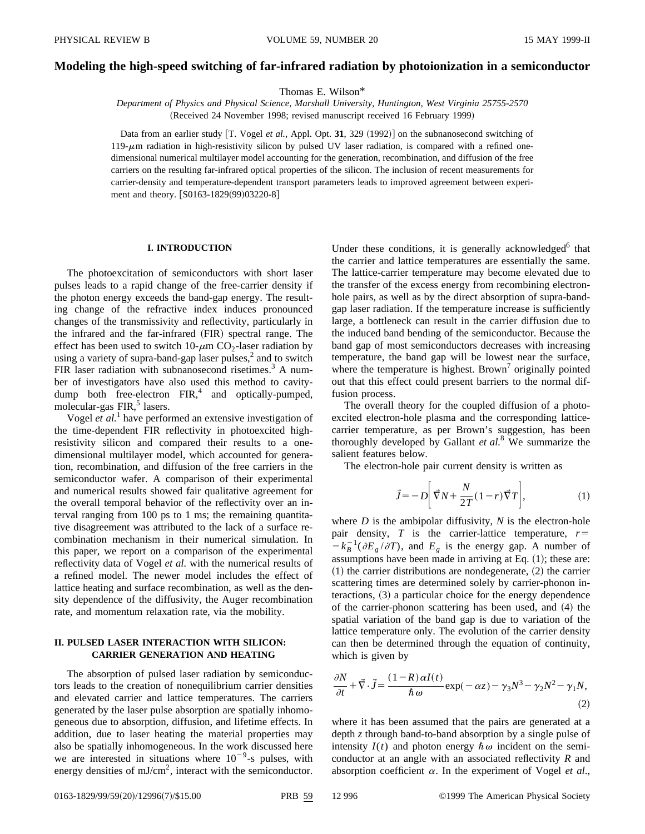#### **Modeling the high-speed switching of far-infrared radiation by photoionization in a semiconductor**

Thomas E. Wilson\*

*Department of Physics and Physical Science, Marshall University, Huntington, West Virginia 25755-2570* (Received 24 November 1998; revised manuscript received 16 February 1999)

Data from an earlier study [T. Vogel et al., Appl. Opt. 31, 329 (1992)] on the subnanosecond switching of  $119-\mu m$  radiation in high-resistivity silicon by pulsed UV laser radiation, is compared with a refined onedimensional numerical multilayer model accounting for the generation, recombination, and diffusion of the free carriers on the resulting far-infrared optical properties of the silicon. The inclusion of recent measurements for carrier-density and temperature-dependent transport parameters leads to improved agreement between experiment and theory. [S0163-1829(99)03220-8]

#### **I. INTRODUCTION**

The photoexcitation of semiconductors with short laser pulses leads to a rapid change of the free-carrier density if the photon energy exceeds the band-gap energy. The resulting change of the refractive index induces pronounced changes of the transmissivity and reflectivity, particularly in the infrared and the far-infrared (FIR) spectral range. The effect has been used to switch  $10$ - $\mu$ m CO<sub>2</sub>-laser radiation by using a variety of supra-band-gap laser pulses,<sup>2</sup> and to switch FIR laser radiation with subnanosecond risetimes. $3$  A number of investigators have also used this method to cavitydump both free-electron  $FIR$ ,<sup>4</sup> and optically-pumped, molecular-gas FIR,<sup>5</sup> lasers.

Vogel *et al.*<sup>1</sup> have performed an extensive investigation of the time-dependent FIR reflectivity in photoexcited highresistivity silicon and compared their results to a onedimensional multilayer model, which accounted for generation, recombination, and diffusion of the free carriers in the semiconductor wafer. A comparison of their experimental and numerical results showed fair qualitative agreement for the overall temporal behavior of the reflectivity over an interval ranging from 100 ps to 1 ms; the remaining quantitative disagreement was attributed to the lack of a surface recombination mechanism in their numerical simulation. In this paper, we report on a comparison of the experimental reflectivity data of Vogel *et al.* with the numerical results of a refined model. The newer model includes the effect of lattice heating and surface recombination, as well as the density dependence of the diffusivity, the Auger recombination rate, and momentum relaxation rate, via the mobility.

## **II. PULSED LASER INTERACTION WITH SILICON: CARRIER GENERATION AND HEATING**

The absorption of pulsed laser radiation by semiconductors leads to the creation of nonequilibrium carrier densities and elevated carrier and lattice temperatures. The carriers generated by the laser pulse absorption are spatially inhomogeneous due to absorption, diffusion, and lifetime effects. In addition, due to laser heating the material properties may also be spatially inhomogeneous. In the work discussed here we are interested in situations where  $10^{-9}$ -s pulses, with energy densities of  $mJ/cm<sup>2</sup>$ , interact with the semiconductor. Under these conditions, it is generally acknowledged $6$  that the carrier and lattice temperatures are essentially the same. The lattice-carrier temperature may become elevated due to the transfer of the excess energy from recombining electronhole pairs, as well as by the direct absorption of supra-bandgap laser radiation. If the temperature increase is sufficiently large, a bottleneck can result in the carrier diffusion due to the induced band bending of the semiconductor. Because the band gap of most semiconductors decreases with increasing temperature, the band gap will be lowest near the surface, where the temperature is highest. Brown<sup>7</sup> originally pointed out that this effect could present barriers to the normal diffusion process.

The overall theory for the coupled diffusion of a photoexcited electron-hole plasma and the corresponding latticecarrier temperature, as per Brown's suggestion, has been thoroughly developed by Gallant *et al.*<sup>8</sup> We summarize the salient features below.

The electron-hole pair current density is written as

$$
\vec{J} = -D \left[ \vec{\nabla} N + \frac{N}{2T} (1 - r) \vec{\nabla} T \right],\tag{1}
$$

where *D* is the ambipolar diffusivity, *N* is the electron-hole pair density,  $T$  is the carrier-lattice temperature,  $r=$  $-k_B^{-1}(\partial E_g/\partial T)$ , and  $E_g$  is the energy gap. A number of assumptions have been made in arriving at Eq.  $(1)$ ; these are:  $(1)$  the carrier distributions are nondegenerate,  $(2)$  the carrier scattering times are determined solely by carrier-phonon in $t$ eractions,  $(3)$  a particular choice for the energy dependence of the carrier-phonon scattering has been used, and  $(4)$  the spatial variation of the band gap is due to variation of the lattice temperature only. The evolution of the carrier density can then be determined through the equation of continuity, which is given by

$$
\frac{\partial N}{\partial t} + \vec{\nabla} \cdot \vec{J} = \frac{(1 - R)\alpha I(t)}{\hbar \omega} \exp(-\alpha z) - \gamma_3 N^3 - \gamma_2 N^2 - \gamma_1 N,
$$
\n(2)

where it has been assumed that the pairs are generated at a depth *z* through band-to-band absorption by a single pulse of intensity  $I(t)$  and photon energy  $\hbar \omega$  incident on the semiconductor at an angle with an associated reflectivity *R* and absorption coefficient  $\alpha$ . In the experiment of Vogel *et al.*,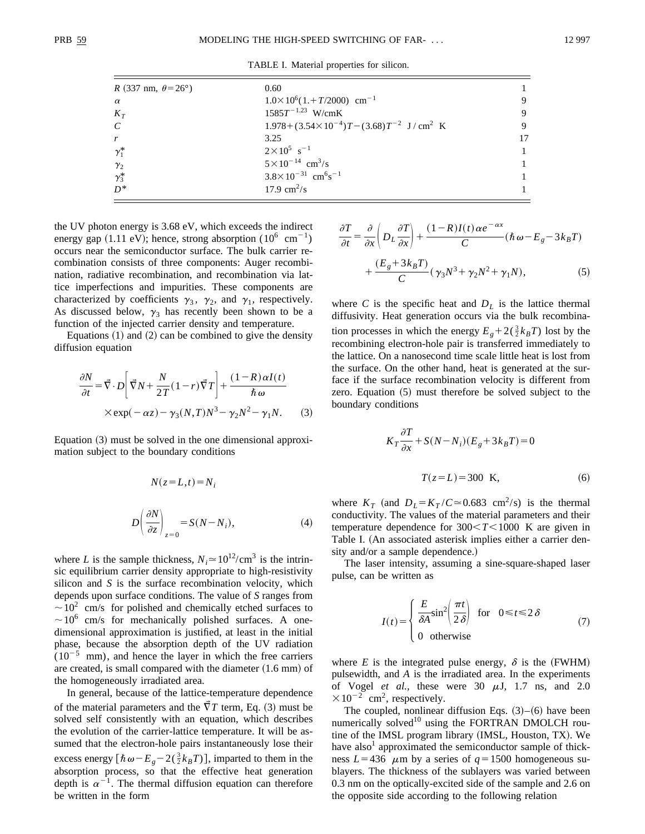TABLE I. Material properties for silicon.

| <i>R</i> (337 nm, $\theta = 26^{\circ}$ ) | 0.60                                                                |    |
|-------------------------------------------|---------------------------------------------------------------------|----|
| $\alpha$                                  | $1.0 \times 10^6 (1 + T/2000)$ cm <sup>-1</sup>                     |    |
| $K_T$                                     | $1585T^{-1.23}$ W/cmK                                               | 9  |
| $\mathcal{C}_{\mathcal{C}}$               | $1.978 + (3.54 \times 10^{-4})T - (3.68)T^{-2}$ J/cm <sup>2</sup> K |    |
| $\mathbf{r}$                              | 3.25                                                                | 17 |
| $\gamma_1^*$                              | $2 \times 10^5$ s <sup>-1</sup>                                     |    |
| $\gamma_2$                                | $5 \times 10^{-14}$ cm <sup>3</sup> /s                              |    |
| $\gamma_3^*$                              | $3.8 \times 10^{-31}$ cm <sup>6</sup> s <sup>-1</sup>               |    |
| $D^*$                                     | 17.9 $\rm cm^2/s$                                                   |    |

the UV photon energy is 3.68 eV, which exceeds the indirect energy gap  $(1.11 \text{ eV})$ ; hence, strong absorption  $(10^6 \text{ cm}^{-1})$ occurs near the semiconductor surface. The bulk carrier recombination consists of three components: Auger recombination, radiative recombination, and recombination via lattice imperfections and impurities. These components are characterized by coefficients  $\gamma_3$ ,  $\gamma_2$ , and  $\gamma_1$ , respectively. As discussed below,  $\gamma_3$  has recently been shown to be a function of the injected carrier density and temperature.

Equations  $(1)$  and  $(2)$  can be combined to give the density diffusion equation

$$
\frac{\partial N}{\partial t} = \vec{\nabla} \cdot D \left[ \vec{\nabla} N + \frac{N}{2T} (1 - r) \vec{\nabla} T \right] + \frac{(1 - R) \alpha I(t)}{\hbar \omega}
$$
  
× exp(-\alpha z) - \gamma\_3 (N, T) N<sup>3</sup> - \gamma\_2 N<sup>2</sup> - \gamma\_1 N. (3)

Equation  $(3)$  must be solved in the one dimensional approximation subject to the boundary conditions

$$
N(z=L,t) = N_i
$$
  

$$
D\left(\frac{\partial N}{\partial z}\right)_{z=0} = S(N-N_i),
$$
 (4)

where *L* is the sample thickness,  $N_i \approx 10^{12} / \text{cm}^3$  is the intrinsic equilibrium carrier density appropriate to high-resistivity silicon and *S* is the surface recombination velocity, which depends upon surface conditions. The value of *S* ranges from  $\sim 10^2$  cm/s for polished and chemically etched surfaces to  $\sim$ 10<sup>6</sup> cm/s for mechanically polished surfaces. A onedimensional approximation is justified, at least in the initial phase, because the absorption depth of the UV radiation  $(10^{-5}$  mm), and hence the layer in which the free carriers are created, is small compared with the diameter  $(1.6 \text{ mm})$  of the homogeneously irradiated area.

In general, because of the lattice-temperature dependence of the material parameters and the  $\overline{V}T$  term, Eq. (3) must be solved self consistently with an equation, which describes the evolution of the carrier-lattice temperature. It will be assumed that the electron-hole pairs instantaneously lose their excess energy  $\left[ \hbar \omega - E_g - 2(\frac{3}{2}k_B T) \right]$ , imparted to them in the absorption process, so that the effective heat generation depth is  $\alpha^{-1}$ . The thermal diffusion equation can therefore be written in the form

$$
\frac{\partial T}{\partial t} = \frac{\partial}{\partial x} \left( D_L \frac{\partial T}{\partial x} \right) + \frac{(1 - R)I(t) \alpha e^{-\alpha x}}{C} (\hbar \omega - E_g - 3k_B T)
$$

$$
+ \frac{(E_g + 3k_B T)}{C} (\gamma_3 N^3 + \gamma_2 N^2 + \gamma_1 N), \tag{5}
$$

where *C* is the specific heat and  $D<sub>L</sub>$  is the lattice thermal diffusivity. Heat generation occurs via the bulk recombination processes in which the energy  $E_g + 2(\frac{3}{2}k_B T)$  lost by the recombining electron-hole pair is transferred immediately to the lattice. On a nanosecond time scale little heat is lost from the surface. On the other hand, heat is generated at the surface if the surface recombination velocity is different from zero. Equation  $(5)$  must therefore be solved subject to the boundary conditions

$$
K_T \frac{\partial T}{\partial x} + S(N - N_i)(E_g + 3k_B T) = 0
$$
  

$$
T(z = L) = 300 \text{ K},
$$
 (6)

where  $K_T$  (and  $D_L = K_T / C \approx 0.683$  cm<sup>2</sup>/s) is the thermal conductivity. The values of the material parameters and their temperature dependence for  $300 < T < 1000$  K are given in Table I. (An associated asterisk implies either a carrier density and/or a sample dependence.)

The laser intensity, assuming a sine-square-shaped laser pulse, can be written as

$$
I(t) = \begin{cases} \frac{E}{\delta A} \sin^2 \left( \frac{\pi t}{2 \delta} \right) & \text{for } 0 \le t \le 2 \delta \\ 0 & \text{otherwise} \end{cases}
$$
 (7)

where *E* is the integrated pulse energy,  $\delta$  is the (FWHM) pulsewidth, and *A* is the irradiated area. In the experiments of Vogel *et al.*, these were  $30 \mu J$ , 1.7 ns, and 2.0  $\times 10^{-2}$  cm<sup>2</sup>, respectively.

The coupled, nonlinear diffusion Eqs.  $(3)$ – $(6)$  have been numerically solved $10$  using the FORTRAN DMOLCH routine of the IMSL program library (IMSL, Houston, TX). We have also<sup>1</sup> approximated the semiconductor sample of thickness  $L=436$   $\mu$ m by a series of  $q=1500$  homogeneous sublayers. The thickness of the sublayers was varied between 0.3 nm on the optically-excited side of the sample and 2.6 on the opposite side according to the following relation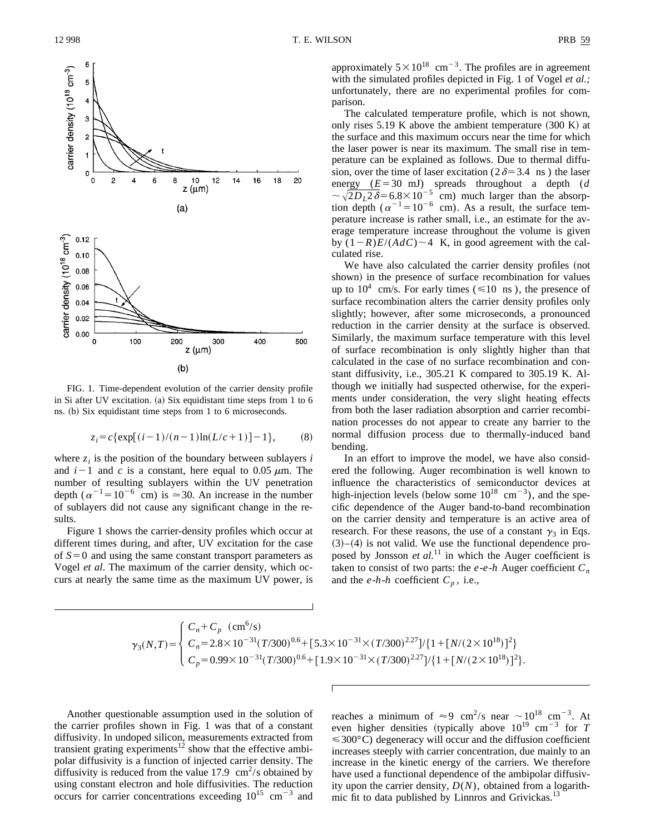

 $(b)$ 

FIG. 1. Time-dependent evolution of the carrier density profile in Si after UV excitation.  $(a)$  Six equidistant time steps from 1 to 6 ns. (b) Six equidistant time steps from 1 to 6 microseconds.

$$
z_i = c \{ \exp[(i-1)/(n-1)\ln(L/c+1)] - 1 \},
$$
 (8)

where  $z_i$  is the position of the boundary between sublayers *i* and  $i-1$  and *c* is a constant, here equal to 0.05  $\mu$ m. The number of resulting sublayers within the UV penetration depth ( $\alpha^{-1}$ =10<sup>-6</sup> cm) is  $\approx$ 30. An increase in the number of sublayers did not cause any significant change in the results.

Figure 1 shows the carrier-density profiles which occur at different times during, and after, UV excitation for the case of  $S=0$  and using the same constant transport parameters as Vogel *et al*. The maximum of the carrier density, which occurs at nearly the same time as the maximum UV power, is approximately  $5 \times 10^{18}$  cm<sup>-3</sup>. The profiles are in agreement with the simulated profiles depicted in Fig. 1 of Vogel *et al.;* unfortunately, there are no experimental profiles for comparison.

The calculated temperature profile, which is not shown, only rises  $5.19 \text{ K}$  above the ambient temperature  $(300 \text{ K})$  at the surface and this maximum occurs near the time for which the laser power is near its maximum. The small rise in temperature can be explained as follows. Due to thermal diffusion, over the time of laser excitation ( $2\delta=3.4$  ns) the laser energy  $(E=30 \text{ mJ})$  spreads throughout a depth (*d*  $\sim \sqrt{2D_L^2\delta}$ =6.8×10<sup>-5</sup> cm) much larger than the absorption depth ( $\alpha^{-1}$ =10<sup>-6</sup> cm). As a result, the surface temperature increase is rather small, i.e., an estimate for the average temperature increase throughout the volume is given by  $(1-R)E/(AdC) \sim 4$  K, in good agreement with the calculated rise.

We have also calculated the carrier density profiles (not shown) in the presence of surface recombination for values up to  $10^4$  cm/s. For early times ( $\leq 10$  ns), the presence of surface recombination alters the carrier density profiles only slightly; however, after some microseconds, a pronounced reduction in the carrier density at the surface is observed. Similarly, the maximum surface temperature with this level of surface recombination is only slightly higher than that calculated in the case of no surface recombination and constant diffusivity, i.e., 305.21 K compared to 305.19 K. Although we initially had suspected otherwise, for the experiments under consideration, the very slight heating effects from both the laser radiation absorption and carrier recombination processes do not appear to create any barrier to the normal diffusion process due to thermally-induced band bending.

In an effort to improve the model, we have also considered the following. Auger recombination is well known to influence the characteristics of semiconductor devices at high-injection levels (below some  $10^{18}$  cm<sup>-3</sup>), and the specific dependence of the Auger band-to-band recombination on the carrier density and temperature is an active area of research. For these reasons, the use of a constant  $\gamma_3$  in Eqs.  $(3)–(4)$  is not valid. We use the functional dependence proposed by Jonsson *et al.*<sup>11</sup> in which the Auger coefficient is taken to consist of two parts: the  $e$ - $e$ - $h$  Auger coefficient  $C_n$ and the  $e$ -*h*-*h* coefficient  $C_p$ , i.e.,

$$
\gamma_3(N,T) = \begin{cases} C_n + C_p \quad (\text{cm}^6/\text{s}) \\ C_n = 2.8 \times 10^{-31} (T/300)^{0.6} + [5.3 \times 10^{-31} \times (T/300)^{2.27}] / \{1 + [N/(2 \times 10^{18})]^2\} \\ C_p = 0.99 \times 10^{-31} (T/300)^{0.6} + [1.9 \times 10^{-31} \times (T/300)^{2.27}] / \{1 + [N/(2 \times 10^{18})]^2\}. \end{cases}
$$

Another questionable assumption used in the solution of the carrier profiles shown in Fig. 1 was that of a constant diffusivity. In undoped silicon, measurements extracted from transient grating experiments<sup>12</sup> show that the effective ambipolar diffusivity is a function of injected carrier density. The diffusivity is reduced from the value  $17.9 \text{ cm}^2/\text{s}$  obtained by using constant electron and hole diffusivities. The reduction occurs for carrier concentrations exceeding  $10^{15}$  cm<sup>-3</sup> and reaches a minimum of  $\approx 9$  cm<sup>2</sup>/s near  $\sim 10^{18}$  cm<sup>-3</sup>. At even higher densities (typically above  $10^{19}$  cm<sup>-3</sup> for *T*  $\leq 300^{\circ}$ C) degeneracy will occur and the diffusion coefficient increases steeply with carrier concentration, due mainly to an increase in the kinetic energy of the carriers. We therefore have used a functional dependence of the ambipolar diffusivity upon the carrier density, *D*(*N*), obtained from a logarithmic fit to data published by Linnros and Grivickas.<sup>13</sup>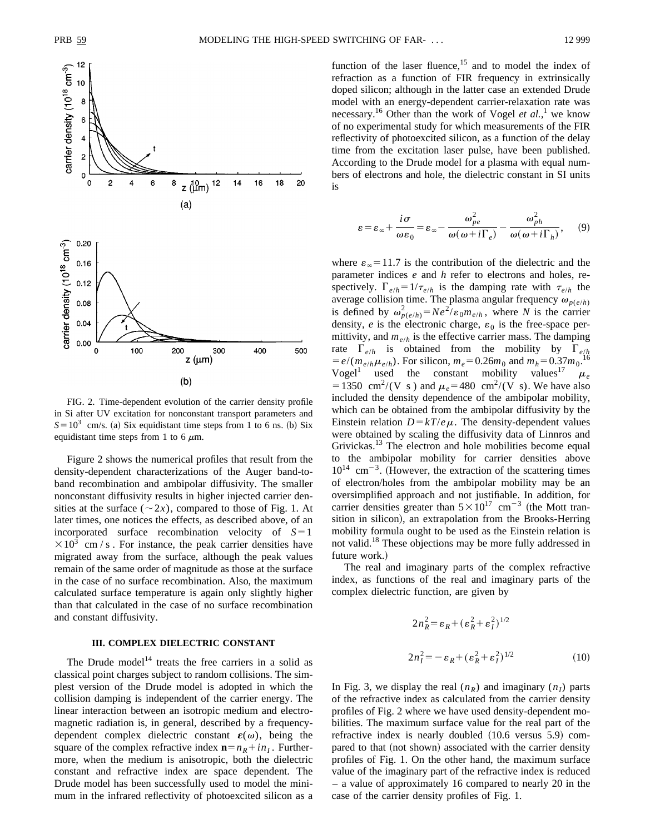

FIG. 2. Time-dependent evolution of the carrier density profile in Si after UV excitation for nonconstant transport parameters and  $S=10^3$  cm/s. (a) Six equidistant time steps from 1 to 6 ns. (b) Six equidistant time steps from 1 to 6  $\mu$ m.

Figure 2 shows the numerical profiles that result from the density-dependent characterizations of the Auger band-toband recombination and ambipolar diffusivity. The smaller nonconstant diffusivity results in higher injected carrier densities at the surface  $(\sim 2x)$ , compared to those of Fig. 1. At later times, one notices the effects, as described above, of an incorporated surface recombination velocity of  $S=1$  $\times$ 10<sup>3</sup> cm / s . For instance, the peak carrier densities have migrated away from the surface, although the peak values remain of the same order of magnitude as those at the surface in the case of no surface recombination. Also, the maximum calculated surface temperature is again only slightly higher than that calculated in the case of no surface recombination and constant diffusivity.

# **III. COMPLEX DIELECTRIC CONSTANT**

The Drude model<sup>14</sup> treats the free carriers in a solid as classical point charges subject to random collisions. The simplest version of the Drude model is adopted in which the collision damping is independent of the carrier energy. The linear interaction between an isotropic medium and electromagnetic radiation is, in general, described by a frequencydependent complex dielectric constant  $\varepsilon(\omega)$ , being the square of the complex refractive index  $\mathbf{n} = n_R + i n_I$ . Furthermore, when the medium is anisotropic, both the dielectric constant and refractive index are space dependent. The Drude model has been successfully used to model the minimum in the infrared reflectivity of photoexcited silicon as a function of the laser fluence,<sup>15</sup> and to model the index of refraction as a function of FIR frequency in extrinsically doped silicon; although in the latter case an extended Drude model with an energy-dependent carrier-relaxation rate was necessary.<sup>16</sup> Other than the work of Vogel *et al.*,<sup>1</sup> we know of no experimental study for which measurements of the FIR reflectivity of photoexcited silicon, as a function of the delay time from the excitation laser pulse, have been published. According to the Drude model for a plasma with equal numbers of electrons and hole, the dielectric constant in SI units is

$$
\varepsilon = \varepsilon_{\infty} + \frac{i\sigma}{\omega\varepsilon_0} = \varepsilon_{\infty} - \frac{\omega_{pe}^2}{\omega(\omega + i\Gamma_e)} - \frac{\omega_{ph}^2}{\omega(\omega + i\Gamma_h)},\qquad(9)
$$

where  $\varepsilon_{\infty}$  = 11.7 is the contribution of the dielectric and the parameter indices *e* and *h* refer to electrons and holes, respectively.  $\Gamma_{e/h} = 1/\tau_{e/h}$  is the damping rate with  $\tau_{e/h}$  the average collision time. The plasma angular frequency  $\omega_{p(e/h)}$ is defined by  $\omega_{p(e/h)}^2 = Ne^2/\varepsilon_0 m_{e/h}$ , where *N* is the carrier density,  $e$  is the electronic charge,  $\varepsilon_0$  is the free-space permittivity, and  $m_{e/h}$  is the effective carrier mass. The damping rate  $\Gamma_{e/h}$  is obtained from the mobility by  $\Gamma_{e/h}$ <br> $= e/(m \mu)$  For silicon  $m = 0.25m$  and  $m = 0.37m^{16}$  $= e/(m_{e/h}\mu_{e/h})$ . For silicon,  $m_e = 0.26m_0$  and  $m_h = 0.37m_0$ . Vogel<sup>1</sup> used the constant mobility values<sup>17</sup>  $\mu_e$ =1350 cm<sup>2</sup>/(V s) and  $\mu_e$ =480 cm<sup>2</sup>/(V s). We have also included the density dependence of the ambipolar mobility, which can be obtained from the ambipolar diffusivity by the Einstein relation  $D = kT/e\mu$ . The density-dependent values were obtained by scaling the diffusivity data of Linnros and Grivickas.<sup>13</sup> The electron and hole mobilities become equal to the ambipolar mobility for carrier densities above  $10^{14}$  cm<sup>-3</sup>. (However, the extraction of the scattering times of electron/holes from the ambipolar mobility may be an oversimplified approach and not justifiable. In addition, for carrier densities greater than  $5 \times 10^{17}$  cm<sup>-3</sup> (the Mott transition in silicon), an extrapolation from the Brooks-Herring mobility formula ought to be used as the Einstein relation is not valid.<sup>18</sup> These objections may be more fully addressed in future work.)

The real and imaginary parts of the complex refractive index, as functions of the real and imaginary parts of the complex dielectric function, are given by

$$
2n_R^2 = \varepsilon_R + (\varepsilon_R^2 + \varepsilon_I^2)^{1/2}
$$
  

$$
2n_I^2 = -\varepsilon_R + (\varepsilon_R^2 + \varepsilon_I^2)^{1/2}
$$
 (10)

In Fig. 3, we display the real  $(n_R)$  and imaginary  $(n_I)$  parts of the refractive index as calculated from the carrier density profiles of Fig. 2 where we have used density-dependent mobilities. The maximum surface value for the real part of the refractive index is nearly doubled  $(10.6 \text{ versus } 5.9)$  compared to that (not shown) associated with the carrier density profiles of Fig. 1. On the other hand, the maximum surface value of the imaginary part of the refractive index is reduced – a value of approximately 16 compared to nearly 20 in the case of the carrier density profiles of Fig. 1.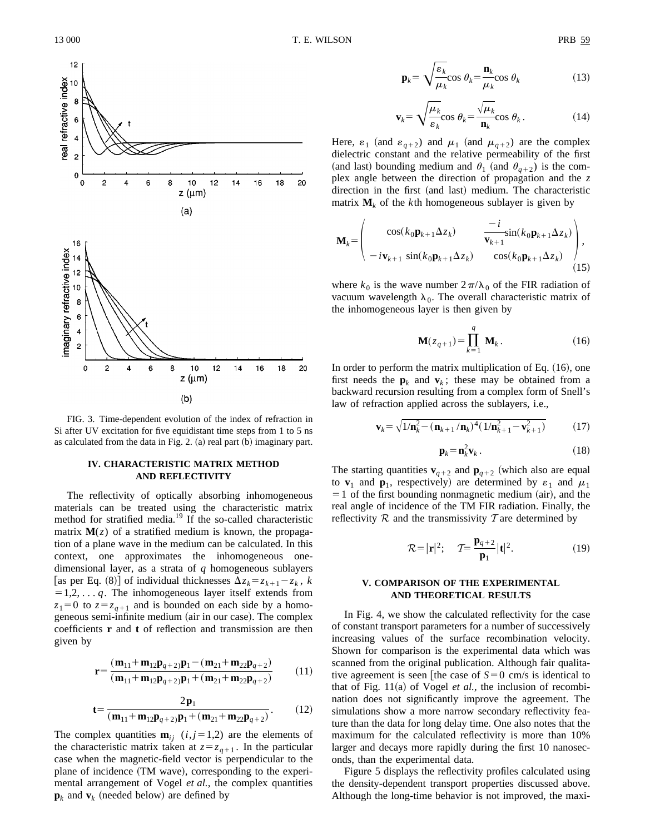

FIG. 3. Time-dependent evolution of the index of refraction in Si after UV excitation for five equidistant time steps from 1 to 5 ns as calculated from the data in Fig. 2. (a) real part  $(b)$  imaginary part.

#### **IV. CHARACTERISTIC MATRIX METHOD AND REFLECTIVITY**

The reflectivity of optically absorbing inhomogeneous materials can be treated using the characteristic matrix method for stratified media.<sup>19</sup> If the so-called characteristic matrix  $M(z)$  of a stratified medium is known, the propagation of a plane wave in the medium can be calculated. In this context, one approximates the inhomogeneous onedimensional layer, as a strata of *q* homogeneous sublayers [as per Eq. (8)] of individual thicknesses  $\Delta z_k = z_{k+1} - z_k$ , *k*  $=1,2,\ldots q$ . The inhomogeneous layer itself extends from  $z_1=0$  to  $z=z_{q+1}$  and is bounded on each side by a homogeneous semi-infinite medium (air in our case). The complex coefficients **r** and **t** of reflection and transmission are then given by

$$
\mathbf{r} = \frac{(\mathbf{m}_{11} + \mathbf{m}_{12}\mathbf{p}_{q+2})\mathbf{p}_1 - (\mathbf{m}_{21} + \mathbf{m}_{22}\mathbf{p}_{q+2})}{(\mathbf{m}_{11} + \mathbf{m}_{12}\mathbf{p}_{q+2})\mathbf{p}_1 + (\mathbf{m}_{21} + \mathbf{m}_{22}\mathbf{p}_{q+2})}
$$
(11)

$$
\mathbf{t} = \frac{2\mathbf{p}_1}{(\mathbf{m}_{11} + \mathbf{m}_{12}\mathbf{p}_{q+2})\mathbf{p}_1 + (\mathbf{m}_{21} + \mathbf{m}_{22}\mathbf{p}_{q+2})}.
$$
 (12)

The complex quantities  $\mathbf{m}_{ij}$  (*i*, *j* = 1,2) are the elements of the characteristic matrix taken at  $z = z_{q+1}$ . In the particular case when the magnetic-field vector is perpendicular to the plane of incidence (TM wave), corresponding to the experimental arrangement of Vogel *et al.*, the complex quantities  $\mathbf{p}_k$  and  $\mathbf{v}_k$  (needed below) are defined by

$$
\mathbf{p}_k = \sqrt{\frac{\varepsilon_k}{\mu_k}} \cos \theta_k = \frac{\mathbf{n}_k}{\mu_k} \cos \theta_k \tag{13}
$$

$$
\mathbf{v}_k = \sqrt{\frac{\mu_k}{\varepsilon_k}} \cos \theta_k = \frac{\sqrt{\mu_k}}{\mathbf{n}_k} \cos \theta_k. \tag{14}
$$

Here,  $\varepsilon_1$  (and  $\varepsilon_{q+2}$ ) and  $\mu_1$  (and  $\mu_{q+2}$ ) are the complex dielectric constant and the relative permeability of the first (and last) bounding medium and  $\theta_1$  (and  $\theta_{q+2}$ ) is the complex angle between the direction of propagation and the *z* direction in the first (and last) medium. The characteristic matrix  $M_k$  of the *k*th homogeneous sublayer is given by

$$
\mathbf{M}_{k} = \begin{pmatrix} \cos(k_{0}\mathbf{p}_{k+1}\Delta z_{k}) & -i \\ -i\mathbf{v}_{k+1} \sin(k_{0}\mathbf{p}_{k+1}\Delta z_{k}) & \cos(k_{0}\mathbf{p}_{k+1}\Delta z_{k}) \\ -i\mathbf{v}_{k+1} \sin(k_{0}\mathbf{p}_{k+1}\Delta z_{k}) & \cos(k_{0}\mathbf{p}_{k+1}\Delta z_{k}) \end{pmatrix},
$$
\n(15)

where  $k_0$  is the wave number  $2\pi/\lambda_0$  of the FIR radiation of vacuum wavelength  $\lambda_0$ . The overall characteristic matrix of the inhomogeneous layer is then given by

$$
\mathbf{M}(z_{q+1}) = \prod_{k=1}^{q} \mathbf{M}_k.
$$
 (16)

In order to perform the matrix multiplication of Eq.  $(16)$ , one first needs the  $\mathbf{p}_k$  and  $\mathbf{v}_k$ ; these may be obtained from a backward recursion resulting from a complex form of Snell's law of refraction applied across the sublayers, i.e.,

$$
\mathbf{v}_k = \sqrt{1/\mathbf{n}_k^2 - (\mathbf{n}_{k+1}/\mathbf{n}_k)^4 (1/\mathbf{n}_{k+1}^2 - \mathbf{v}_{k+1}^2)}
$$
(17)

$$
\mathbf{p}_k = \mathbf{n}_k^2 \mathbf{v}_k \,. \tag{18}
$$

The starting quantities  $\mathbf{v}_{q+2}$  and  $\mathbf{p}_{q+2}$  (which also are equal to **v**<sub>1</sub> and **p**<sub>1</sub>, respectively) are determined by  $\varepsilon_1$  and  $\mu_1$  $=1$  of the first bounding nonmagnetic medium (air), and the real angle of incidence of the TM FIR radiation. Finally, the reflectivity  $R$  and the transmissivity  $T$  are determined by

$$
\mathcal{R} = |\mathbf{r}|^2; \quad \mathcal{T} = \frac{\mathbf{p}_{q+2}}{\mathbf{p}_1} |\mathbf{t}|^2. \tag{19}
$$

# **V. COMPARISON OF THE EXPERIMENTAL AND THEORETICAL RESULTS**

In Fig. 4, we show the calculated reflectivity for the case of constant transport parameters for a number of successively increasing values of the surface recombination velocity. Shown for comparison is the experimental data which was scanned from the original publication. Although fair qualitative agreement is seen the case of  $S=0$  cm/s is identical to that of Fig.  $11(a)$  of Vogel *et al.*, the inclusion of recombination does not significantly improve the agreement. The simulations show a more narrow secondary reflectivity feature than the data for long delay time. One also notes that the maximum for the calculated reflectivity is more than 10% larger and decays more rapidly during the first 10 nanoseconds, than the experimental data.

Figure 5 displays the reflectivity profiles calculated using the density-dependent transport properties discussed above. Although the long-time behavior is not improved, the maxi-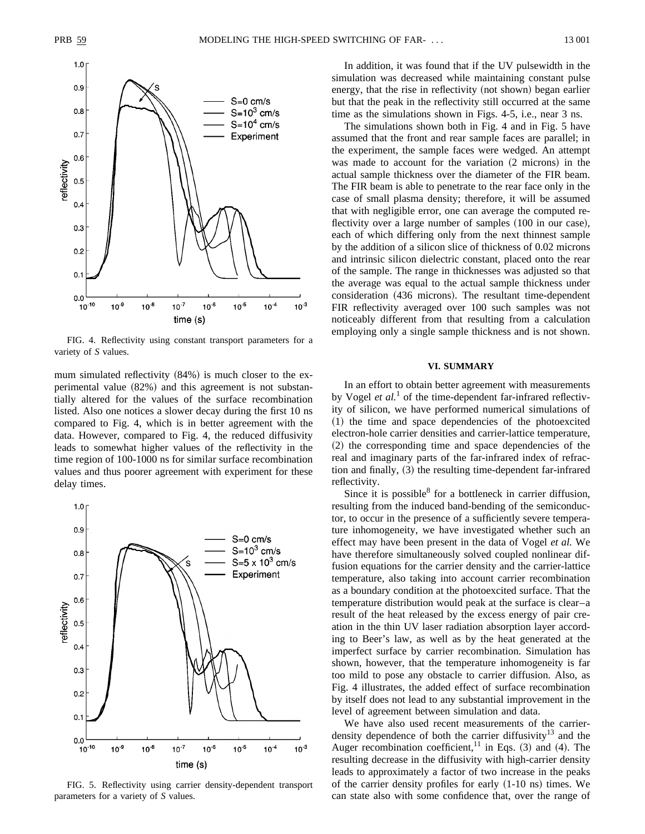

FIG. 4. Reflectivity using constant transport parameters for a variety of *S* values.

mum simulated reflectivity  $(84%)$  is much closer to the experimental value  $(82%)$  and this agreement is not substantially altered for the values of the surface recombination listed. Also one notices a slower decay during the first 10 ns compared to Fig. 4, which is in better agreement with the data. However, compared to Fig. 4, the reduced diffusivity leads to somewhat higher values of the reflectivity in the time region of 100-1000 ns for similar surface recombination values and thus poorer agreement with experiment for these delay times.



FIG. 5. Reflectivity using carrier density-dependent transport parameters for a variety of *S* values.

In addition, it was found that if the UV pulsewidth in the simulation was decreased while maintaining constant pulse energy, that the rise in reflectivity (not shown) began earlier but that the peak in the reflectivity still occurred at the same time as the simulations shown in Figs. 4-5, i.e., near 3 ns.

The simulations shown both in Fig. 4 and in Fig. 5 have assumed that the front and rear sample faces are parallel; in the experiment, the sample faces were wedged. An attempt was made to account for the variation  $(2 \text{ microns})$  in the actual sample thickness over the diameter of the FIR beam. The FIR beam is able to penetrate to the rear face only in the case of small plasma density; therefore, it will be assumed that with negligible error, one can average the computed reflectivity over a large number of samples  $(100 \text{ in our case})$ , each of which differing only from the next thinnest sample by the addition of a silicon slice of thickness of 0.02 microns and intrinsic silicon dielectric constant, placed onto the rear of the sample. The range in thicknesses was adjusted so that the average was equal to the actual sample thickness under consideration (436 microns). The resultant time-dependent FIR reflectivity averaged over 100 such samples was not noticeably different from that resulting from a calculation employing only a single sample thickness and is not shown.

#### **VI. SUMMARY**

In an effort to obtain better agreement with measurements by Vogel *et al.*<sup>1</sup> of the time-dependent far-infrared reflectivity of silicon, we have performed numerical simulations of  $(1)$  the time and space dependencies of the photoexcited electron-hole carrier densities and carrier-lattice temperature,  $(2)$  the corresponding time and space dependencies of the real and imaginary parts of the far-infrared index of refraction and finally,  $(3)$  the resulting time-dependent far-infrared reflectivity.

Since it is possible  $6$  for a bottleneck in carrier diffusion, resulting from the induced band-bending of the semiconductor, to occur in the presence of a sufficiently severe temperature inhomogeneity, we have investigated whether such an effect may have been present in the data of Vogel *et al.* We have therefore simultaneously solved coupled nonlinear diffusion equations for the carrier density and the carrier-lattice temperature, also taking into account carrier recombination as a boundary condition at the photoexcited surface. That the temperature distribution would peak at the surface is clear–a result of the heat released by the excess energy of pair creation in the thin UV laser radiation absorption layer according to Beer's law, as well as by the heat generated at the imperfect surface by carrier recombination. Simulation has shown, however, that the temperature inhomogeneity is far too mild to pose any obstacle to carrier diffusion. Also, as Fig. 4 illustrates, the added effect of surface recombination by itself does not lead to any substantial improvement in the level of agreement between simulation and data.

We have also used recent measurements of the carrierdensity dependence of both the carrier diffusivity<sup>13</sup> and the Auger recombination coefficient,<sup>11</sup> in Eqs.  $(3)$  and  $(4)$ . The resulting decrease in the diffusivity with high-carrier density leads to approximately a factor of two increase in the peaks of the carrier density profiles for early  $(1-10 \text{ ns})$  times. We can state also with some confidence that, over the range of